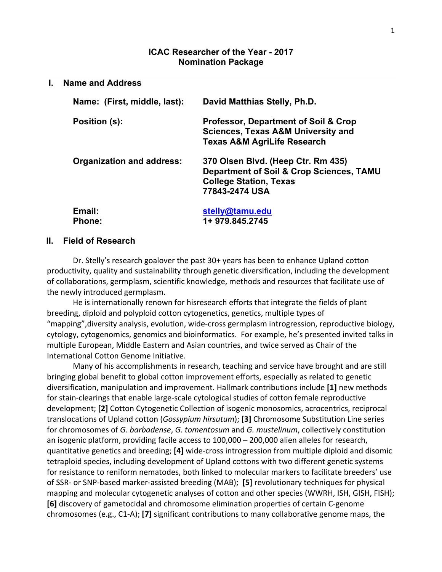#### **ICAC Researcher of the Year - 2017 Nomination Package**

| <b>Name and Address</b>          |                                                                                                                                              |  |  |  |
|----------------------------------|----------------------------------------------------------------------------------------------------------------------------------------------|--|--|--|
| Name: (First, middle, last):     | David Matthias Stelly, Ph.D.                                                                                                                 |  |  |  |
| Position (s):                    | <b>Professor, Department of Soil &amp; Crop</b><br><b>Sciences, Texas A&amp;M University and</b><br><b>Texas A&amp;M AgriLife Research</b>   |  |  |  |
| <b>Organization and address:</b> | 370 Olsen Blvd. (Heep Ctr. Rm 435)<br><b>Department of Soil &amp; Crop Sciences, TAMU</b><br><b>College Station, Texas</b><br>77843-2474 USA |  |  |  |
| Email:<br><b>Phone:</b>          | stelly@tamu.edu<br>1+ 979.845.2745                                                                                                           |  |  |  |

#### **II. Field of Research**

Dr. Stelly's research goalover the past 30+ years has been to enhance Upland cotton productivity, quality and sustainability through genetic diversification, including the development of collaborations, germplasm, scientific knowledge, methods and resources that facilitate use of the newly introduced germplasm.

He is internationally renown for hisresearch efforts that integrate the fields of plant breeding, diploid and polyploid cotton cytogenetics, genetics, multiple types of "mapping", diversity analysis, evolution, wide-cross germplasm introgression, reproductive biology, cytology, cytogenomics, genomics and bioinformatics. For example, he's presented invited talks in multiple European, Middle Eastern and Asian countries, and twice served as Chair of the International Cotton Genome Initiative.

Many of his accomplishments in research, teaching and service have brought and are still bringing global benefit to global cotton improvement efforts, especially as related to genetic diversification, manipulation and improvement. Hallmark contributions include [1] new methods for stain-clearings that enable large-scale cytological studies of cotton female reproductive development; [2] Cotton Cytogenetic Collection of isogenic monosomics, acrocentrics, reciprocal translocations of Upland cotton (*Gossypium hirsutum*); **[3]** Chromosome Substitution Line series for chromosomes of *G. barbadense*, *G. tomentosum* and *G. mustelinum*, collectively constitution an isogenic platform, providing facile access to 100,000 – 200,000 alien alleles for research, quantitative genetics and breeding; [4] wide-cross introgression from multiple diploid and disomic tetraploid species, including development of Upland cottons with two different genetic systems for resistance to reniform nematodes, both linked to molecular markers to facilitate breeders' use of SSR- or SNP-based marker-assisted breeding (MAB); [5] revolutionary techniques for physical mapping and molecular cytogenetic analyses of cotton and other species (WWRH, ISH, GISH, FISH); **[6]** discovery of gametocidal and chromosome elimination properties of certain C-genome chromosomes (e.g., C1-A); **[7]** significant contributions to many collaborative genome maps, the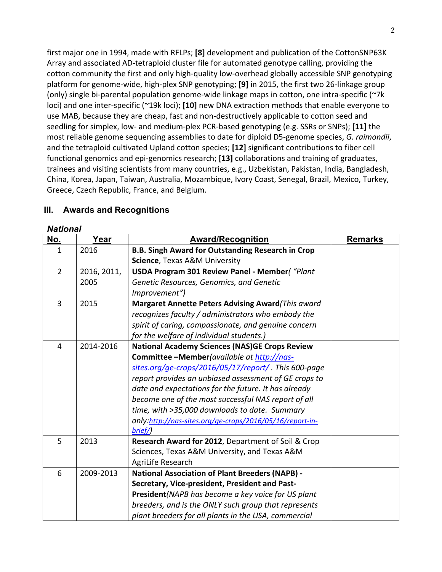first major one in 1994, made with RFLPs; [8] development and publication of the CottonSNP63K Array and associated AD-tetraploid cluster file for automated genotype calling, providing the cotton community the first and only high-quality low-overhead globally accessible SNP genotyping platform for genome-wide, high-plex SNP genotyping; **[9]** in 2015, the first two 26-linkage group (only) single bi-parental population genome-wide linkage maps in cotton, one intra-specific (~7k loci) and one inter-specific (~19k loci); **[10]** new DNA extraction methods that enable everyone to use MAB, because they are cheap, fast and non-destructively applicable to cotton seed and seedling for simplex, low- and medium-plex PCR-based genotyping (e.g. SSRs or SNPs); [11] the most reliable genome sequencing assemblies to date for diploid D5-genome species, *G. raimondii*, and the tetraploid cultivated Upland cotton species; [12] significant contributions to fiber cell functional genomics and epi-genomics research; [13] collaborations and training of graduates, trainees and visiting scientists from many countries, e.g., Uzbekistan, Pakistan, India, Bangladesh, China, Korea, Japan, Taiwan, Australia, Mozambique, Ivory Coast, Senegal, Brazil, Mexico, Turkey, Greece, Czech Republic, France, and Belgium.

### **No. Year Award/Recognition Remarks** 1 | 2016 | B.B. Singh Award for Outstanding Research in Crop **Science**, Texas A&M University  $2 \mid 2016, 2011,$ 2005 **USDA Program 301 Review Panel - Member***( "Plant Genetic Resources, Genomics, and Genetic Improvement")* 3 | 2015 | **Margaret Annette Peters Advising Award** *(This award* recognizes faculty / administrators who embody the spirit of caring, compassionate, and genuine concern *for the welfare of individual students.)* 4 | 2014-2016 | National Academy Sciences (NAS)GE Crops Review Committee -Member*(available at http://nas*sites.org/ge-crops/2016/05/17/report/ . This 600-page report provides an unbiased assessment of GE crops to date and expectations for the future. It has already *become one of the most successful NAS report of all* time, with >35,000 downloads to date. Summary *only:http://nas-sites.org/ge-crops/2016/05/16/report-inbrief/)* 5 | 2013 | **Research Award for 2012**, Department of Soil & Crop Sciences, Texas A&M University, and Texas A&M AgriLife Research 6 | 2009-2013 | National Association of Plant Breeders (NAPB) -**Secretary, Vice-president, President and Past-President***(NAPB* has become a key voice for US plant *breeders, and is the ONLY such group that represents* plant breeders for all plants in the USA, commercial

### **III. Awards and Recognitions**

#### *National*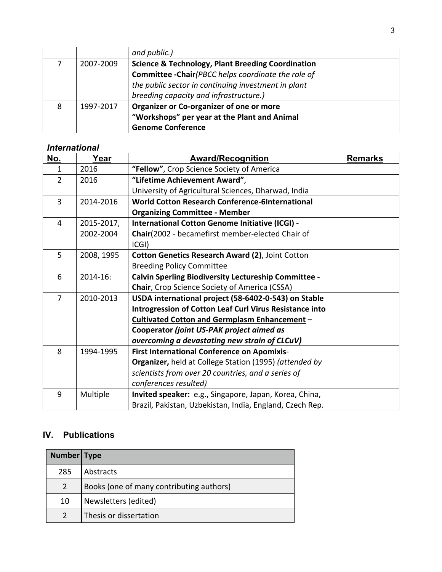|   |           | and public.)                                                 |  |
|---|-----------|--------------------------------------------------------------|--|
|   | 2007-2009 | <b>Science &amp; Technology, Plant Breeding Coordination</b> |  |
|   |           | <b>Committee -Chair</b> (PBCC helps coordinate the role of   |  |
|   |           | the public sector in continuing investment in plant          |  |
|   |           | breeding capacity and infrastructure.)                       |  |
| 8 | 1997-2017 | Organizer or Co-organizer of one or more                     |  |
|   |           | "Workshops" per year at the Plant and Animal                 |  |
|   |           | <b>Genome Conference</b>                                     |  |

## *International*

| No.            | Year       | <b>Award/Recognition</b>                                    | <b>Remarks</b> |
|----------------|------------|-------------------------------------------------------------|----------------|
| 1              | 2016       | "Fellow", Crop Science Society of America                   |                |
| $\overline{2}$ | 2016       | "Lifetime Achievement Award",                               |                |
|                |            | University of Agricultural Sciences, Dharwad, India         |                |
| 3              | 2014-2016  | <b>World Cotton Research Conference-6International</b>      |                |
|                |            | <b>Organizing Committee - Member</b>                        |                |
| 4              | 2015-2017, | International Cotton Genome Initiative (ICGI) -             |                |
|                | 2002-2004  | Chair(2002 - becamefirst member-elected Chair of            |                |
|                |            | CG )                                                        |                |
| 5              | 2008, 1995 | Cotton Genetics Research Award (2), Joint Cotton            |                |
|                |            | <b>Breeding Policy Committee</b>                            |                |
| 6              | 2014-16:   | <b>Calvin Sperling Biodiversity Lectureship Committee -</b> |                |
|                |            | Chair, Crop Science Society of America (CSSA)               |                |
| $\overline{7}$ | 2010-2013  | USDA international project (58-6402-0-543) on Stable        |                |
|                |            | Introgression of Cotton Leaf Curl Virus Resistance into     |                |
|                |            | <b>Cultivated Cotton and Germplasm Enhancement -</b>        |                |
|                |            | Cooperator (joint US-PAK project aimed as                   |                |
|                |            | overcoming a devastating new strain of CLCuV)               |                |
| 8              | 1994-1995  | <b>First International Conference on Apomixis-</b>          |                |
|                |            | Organizer, held at College Station (1995) (attended by      |                |
|                |            | scientists from over 20 countries, and a series of          |                |
|                |            | conferences resulted)                                       |                |
| 9              | Multiple   | Invited speaker: e.g., Singapore, Japan, Korea, China,      |                |
|                |            | Brazil, Pakistan, Uzbekistan, India, England, Czech Rep.    |                |

# **IV. Publications**

| Number Type   |                                          |
|---------------|------------------------------------------|
| 285           | Abstracts                                |
| $\mathcal{P}$ | Books (one of many contributing authors) |
| 10            | Newsletters (edited)                     |
|               | Thesis or dissertation                   |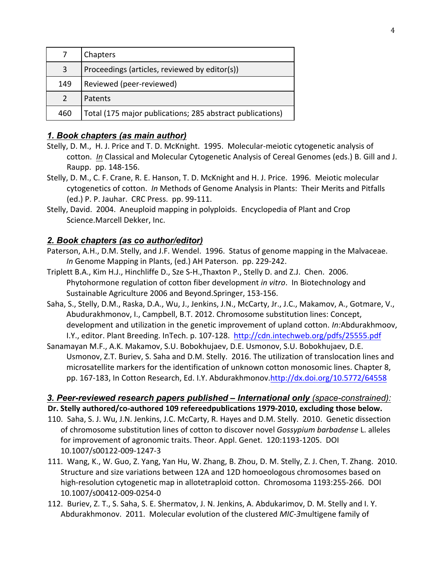|               | Chapters                                                  |
|---------------|-----------------------------------------------------------|
| 3             | Proceedings (articles, reviewed by editor(s))             |
| 149           | Reviewed (peer-reviewed)                                  |
| $\mathcal{P}$ | Patents                                                   |
| 460           | Total (175 major publications; 285 abstract publications) |

## *1. Book chapters (as main author)*

- Stelly, D. M., H. J. Price and T. D. McKnight. 1995. Molecular-meiotic cytogenetic analysis of cotton. *In* Classical and Molecular Cytogenetic Analysis of Cereal Genomes (eds.) B. Gill and J. Raupp. pp. 148-156.
- Stelly, D. M., C. F. Crane, R. E. Hanson, T. D. McKnight and H. J. Price. 1996. Meiotic molecular cytogenetics of cotton. *In* Methods of Genome Analysis in Plants: Their Merits and Pitfalls (ed.) P. P. Jauhar. CRC Press. pp. 99-111.
- Stelly, David. 2004. Aneuploid mapping in polyploids. Encyclopedia of Plant and Crop Science.Marcell Dekker, Inc.

## *2. Book chapters (as co author/editor)*

- Paterson, A.H., D.M. Stelly, and J.F. Wendel. 1996. Status of genome mapping in the Malvaceae. *In* Genome Mapping in Plants, (ed.) AH Paterson. pp. 229-242.
- Triplett B.A., Kim H.J., Hinchliffe D., Sze S-H., Thaxton P., Stelly D. and Z.J. Chen. 2006. Phytohormone regulation of cotton fiber development *in vitro*. In Biotechnology and Sustainable Agriculture 2006 and Beyond.Springer, 153-156.
- Saha, S., Stelly, D.M., Raska, D.A., Wu, J., Jenkins, J.N., McCarty, Jr., J.C., Makamov, A., Gotmare, V., Abudurakhmonov, I., Campbell, B.T. 2012. Chromosome substitution lines: Concept, development and utilization in the genetic improvement of upland cotton. *In:*Abdurakhmoov, I.Y., editor. Plant Breeding. InTech. p. 107-128. http://cdn.intechweb.org/pdfs/25555.pdf
- Sanamayan M.F., A.K. Makamov, S.U. Bobokhujaev, D.E. Usmonov, S.U. Bobokhujaev, D.E. Usmonov, Z.T. Buriev, S. Saha and D.M. Stelly. 2016. The utilization of translocation lines and microsatellite markers for the identification of unknown cotton monosomic lines. Chapter 8, pp. 167-183, In Cotton Research, Ed. I.Y. Abdurakhmonov.http://dx.doi.org/10.5772/64558

## *3. Peer-reviewed research papers published – International only (space-constrained):* **Dr. Stelly authored/co-authored 109 refereedpublications 1979-2010, excluding those below.**

- 110. Saha, S. J. Wu, J.N. Jenkins, J.C. McCarty, R. Hayes and D.M. Stelly. 2010. Genetic dissection of chromosome substitution lines of cotton to discover novel *Gossypium barbadense* L. alleles for improvement of agronomic traits. Theor. Appl. Genet. 120:1193-1205. DOI 10.1007/s00122-009-1247-3
- 111. Wang, K., W. Guo, Z. Yang, Yan Hu, W. Zhang, B. Zhou, D. M. Stelly, Z. J. Chen, T. Zhang. 2010. Structure and size variations between 12A and 12D homoeologous chromosomes based on high-resolution cytogenetic map in allotetraploid cotton. Chromosoma 1193:255-266. DOI 10.1007/s00412-009-0254-0
- 112. Buriev, Z. T., S. Saha, S. E. Shermatov, J. N. Jenkins, A. Abdukarimov, D. M. Stelly and I. Y. Abdurakhmonov. 2011. Molecular evolution of the clustered *MIC-3* multigene family of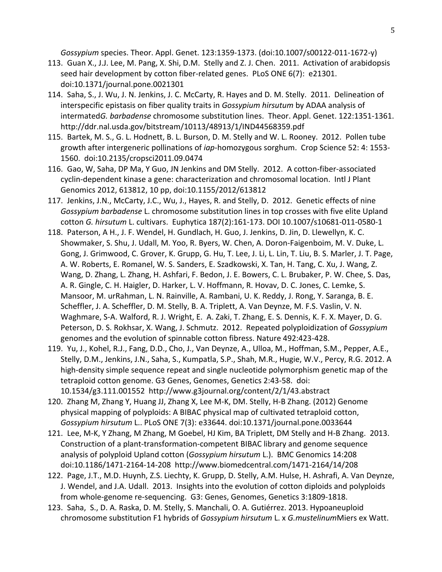*Gossypium* species. Theor. Appl. Genet. 123:1359-1373. (doi:10.1007/s00122-011-1672-y)

- 113. Guan X., J.J. Lee, M. Pang, X. Shi, D.M. Stelly and Z. J. Chen. 2011. Activation of arabidopsis seed hair development by cotton fiber-related genes. PLoS ONE 6(7): e21301. doi:10.1371/journal.pone.0021301
- 114. Saha, S., J. Wu, J. N. Jenkins, J. C. McCarty, R. Hayes and D. M. Stelly. 2011. Delineation of interspecific epistasis on fiber quality traits in *Gossypium hirsutum* by ADAA analysis of intermated*G. barbadense* chromosome substitution lines. Theor. Appl. Genet. 122:1351-1361. http://ddr.nal.usda.gov/bitstream/10113/48913/1/IND44568359.pdf
- 115. Bartek, M. S., G. L. Hodnett, B. L. Burson, D. M. Stelly and W. L. Rooney. 2012. Pollen tube growth after intergeneric pollinations of *iap*-homozygous sorghum. Crop Science 52: 4: 1553-1560. doi:10.2135/cropsci2011.09.0474
- 116. Gao, W, Saha, DP Ma, Y Guo, JN Jenkins and DM Stelly. 2012. A cotton-fiber-associated cyclin-dependent kinase a gene: characterization and chromosomal location. Intl J Plant Genomics 2012, 613812, 10 pp, doi:10.1155/2012/613812
- 117. Jenkins, J.N., McCarty, J.C., Wu, J., Hayes, R. and Stelly, D. 2012. Genetic effects of nine Gossypium barbadense L. chromosome substitution lines in top crosses with five elite Upland cotton *G. hirsutum* L. cultivars. Euphytica 187(2):161-173. DOI 10.1007/s10681-011-0580-1
- 118. Paterson, A H., J. F. Wendel, H. Gundlach, H. Guo, J. Jenkins, D. Jin, D. Llewellyn, K. C. Showmaker, S. Shu, J. Udall, M. Yoo, R. Byers, W. Chen, A. Doron-Faigenboim, M. V. Duke, L. Gong, J. Grimwood, C. Grover, K. Grupp, G. Hu, T. Lee, J. Li, L. Lin, T. Liu, B. S. Marler, J. T. Page, A. W. Roberts, E. Romanel, W. S. Sanders, E. Szadkowski, X. Tan, H. Tang, C. Xu, J. Wang, Z. Wang, D. Zhang, L. Zhang, H. Ashfari, F. Bedon, J. E. Bowers, C. L. Brubaker, P. W. Chee, S. Das, A. R. Gingle, C. H. Haigler, D. Harker, L. V. Hoffmann, R. Hovav, D. C. Jones, C. Lemke, S. Mansoor, M. urRahman, L. N. Rainville, A. Rambani, U. K. Reddy, J. Rong, Y. Saranga, B. E. Scheffler, J. A. Scheffler, D. M. Stelly, B. A. Triplett, A. Van Deynze, M. F.S. Vaslin, V. N. Waghmare, S-A. Walford, R. J. Wright, E. A. Zaki, T. Zhang, E. S. Dennis, K. F. X. Mayer, D. G. Peterson, D. S. Rokhsar, X. Wang, J. Schmutz. 2012. Repeated polyploidization of *Gossypium* genomes and the evolution of spinnable cotton fibress. Nature 492:423-428.
- 119. Yu, J., Kohel, R.J., Fang, D.D., Cho, J., Van Deynze, A., Ulloa, M., Hoffman, S.M., Pepper, A.E., Stelly, D.M., Jenkins, J.N., Saha, S., Kumpatla, S.P., Shah, M.R., Hugie, W.V., Percy, R.G. 2012. A high-density simple sequence repeat and single nucleotide polymorphism genetic map of the tetraploid cotton genome. G3 Genes, Genomes, Genetics 2:43-58. doi: 10.1534/g3.111.001552 http://www.g3journal.org/content/2/1/43.abstract
- 120. Zhang M, Zhang Y, Huang JJ, Zhang X, Lee M-K, DM. Stelly, H-B Zhang. (2012) Genome physical mapping of polyploids: A BIBAC physical map of cultivated tetraploid cotton, *Gossypium hirsutum* L.. PLoS ONE 7(3): e33644. doi:10.1371/journal.pone.0033644
- 121. Lee, M-K, Y Zhang, M Zhang, M Goebel, HJ Kim, BA Triplett, DM Stelly and H-B Zhang. 2013. Construction of a plant-transformation-competent BIBAC library and genome sequence analysis of polyploid Upland cotton (*Gossypium hirsutum* L.). BMC Genomics 14:208 doi:10.1186/1471-2164-14-208 http://www.biomedcentral.com/1471-2164/14/208
- 122. Page, J.T., M.D. Huynh, Z.S. Liechty, K. Grupp, D. Stelly, A.M. Hulse, H. Ashrafi, A. Van Deynze, J. Wendel, and J.A. Udall. 2013. Insights into the evolution of cotton diploids and polyploids from whole-genome re-sequencing. G3: Genes, Genomes, Genetics 3:1809-1818.
- 123. Saha, S., D. A. Raska, D. M. Stelly, S. Manchali, O. A. Gutiérrez. 2013. Hypoaneuploid chromosome substitution F1 hybrids of *Gossypium hirsutum* L. x *G.mustelinum* Miers ex Watt.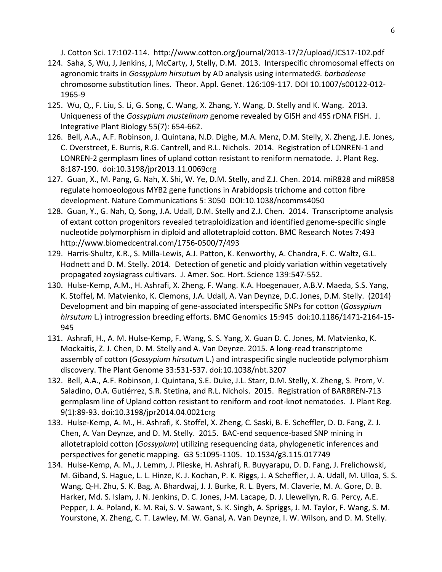J. Cotton Sci. 17:102-114. http://www.cotton.org/journal/2013-17/2/upload/JCS17-102.pdf

- 124. Saha, S, Wu, J, Jenkins, J, McCarty, J, Stelly, D.M. 2013. Interspecific chromosomal effects on agronomic traits in *Gossypium hirsutum* by AD analysis using intermated*G. barbadense* chromosome substitution lines. Theor. Appl. Genet. 126:109-117. DOI 10.1007/s00122-012-1965-9
- 125. Wu, Q., F. Liu, S. Li, G. Song, C. Wang, X. Zhang, Y. Wang, D. Stelly and K. Wang. 2013. Uniqueness of the *Gossypium mustelinum* genome revealed by GISH and 45S rDNA FISH. J. Integrative Plant Biology 55(7): 654-662.
- 126. Bell, A.A., A.F. Robinson, J. Quintana, N.D. Dighe, M.A. Menz, D.M. Stelly, X. Zheng, J.E. Jones, C. Overstreet, E. Burris, R.G. Cantrell, and R.L. Nichols. 2014. Registration of LONREN-1 and LONREN-2 germplasm lines of upland cotton resistant to reniform nematode. J. Plant Reg. 8:187-190. doi:10.3198/jpr2013.11.0069crg
- 127. Guan, X., M. Pang, G. Nah, X. Shi, W. Ye, D.M. Stelly, and Z.J. Chen. 2014. miR828 and miR858 regulate homoeologous MYB2 gene functions in Arabidopsis trichome and cotton fibre development. Nature Communications 5: 3050 DOI:10.1038/ncomms4050
- 128. Guan, Y., G. Nah, Q. Song, J.A. Udall, D.M. Stelly and Z.J. Chen. 2014. Transcriptome analysis of extant cotton progenitors revealed tetraploidization and identified genome-specific single nucleotide polymorphism in diploid and allotetraploid cotton. BMC Research Notes 7:493 http://www.biomedcentral.com/1756-0500/7/493
- 129. Harris-Shultz, K.R., S. Milla-Lewis, A.J. Patton, K. Kenworthy, A. Chandra, F. C. Waltz, G.L. Hodnett and D. M. Stelly. 2014. Detection of genetic and ploidy variation within vegetatively propagated zoysiagrass cultivars. J. Amer. Soc. Hort. Science 139:547-552.
- 130. Hulse-Kemp, A.M., H. Ashrafi, X. Zheng, F. Wang. K.A. Hoegenauer, A.B.V. Maeda, S.S. Yang, K. Stoffel, M. Matvienko, K. Clemons, J.A. Udall, A. Van Deynze, D.C. Jones, D.M. Stelly. (2014) Development and bin mapping of gene-associated interspecific SNPs for cotton (*Gossypium* hirsutum L.) introgression breeding efforts. BMC Genomics 15:945 doi:10.1186/1471-2164-15-945
- 131. Ashrafi, H., A. M. Hulse-Kemp, F. Wang, S. S. Yang, X. Guan D. C. Jones, M. Matvienko, K. Mockaitis, Z. J. Chen, D. M. Stelly and A. Van Deynze. 2015. A long-read transcriptome assembly of cotton (*Gossypium hirsutum* L.) and intraspecific single nucleotide polymorphism discovery. The Plant Genome 33:531-537. doi:10.1038/nbt.3207
- 132. Bell, A.A., A.F. Robinson, J. Quintana, S.E. Duke, J.L. Starr, D.M. Stelly, X. Zheng, S. Prom, V. Saladino, O.A. Gutiérrez, S.R. Stetina, and R.L. Nichols. 2015. Registration of BARBREN-713 germplasm line of Upland cotton resistant to reniform and root-knot nematodes. J. Plant Reg. 9(1):89-93. doi:10.3198/jpr2014.04.0021crg
- 133. Hulse-Kemp, A. M., H. Ashrafi, K. Stoffel, X. Zheng, C. Saski, B. E. Scheffler, D. D. Fang, Z. J. Chen, A. Van Deynze, and D. M. Stelly. 2015. BAC-end sequence-based SNP mining in allotetraploid cotton (*Gossypium*) utilizing resequencing data, phylogenetic inferences and perspectives for genetic mapping. G3 5:1095-1105. 10.1534/g3.115.017749
- 134. Hulse-Kemp, A. M., J. Lemm, J. Plieske, H. Ashrafi, R. Buyyarapu, D. D. Fang, J. Frelichowski, M. Giband, S. Hague, L. L. Hinze, K. J. Kochan, P. K. Riggs, J. A Scheffler, J. A. Udall, M. Ulloa, S. S. Wang, Q-H. Zhu, S. K. Bag, A. Bhardwaj, J. J. Burke, R. L. Byers, M. Claverie, M. A. Gore, D. B. Harker, Md. S. Islam, J. N. Jenkins, D. C. Jones, J-M. Lacape, D. J. Llewellyn, R. G. Percy, A.E. Pepper, J. A. Poland, K. M. Rai, S. V. Sawant, S. K. Singh, A. Spriggs, J. M. Taylor, F. Wang, S. M. Yourstone, X. Zheng, C. T. Lawley, M. W. Ganal, A. Van Deynze, I. W. Wilson, and D. M. Stelly.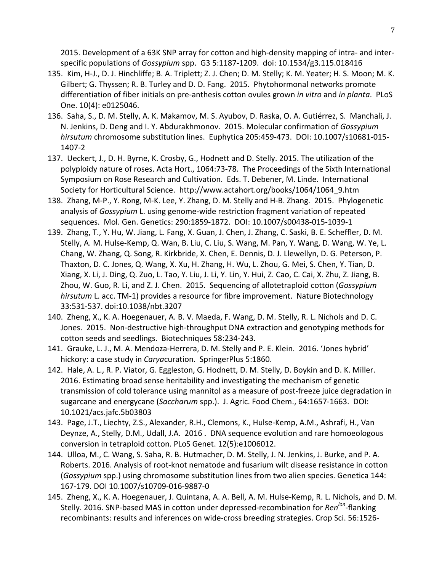2015. Development of a 63K SNP array for cotton and high-density mapping of intra- and interspecific populations of *Gossypium* spp. G3 5:1187-1209. doi: 10.1534/g3.115.018416

- 135. Kim, H-J., D. J. Hinchliffe; B. A. Triplett; Z. J. Chen; D. M. Stelly; K. M. Yeater; H. S. Moon; M. K. Gilbert; G. Thyssen; R. B. Turley and D. D. Fang. 2015. Phytohormonal networks promote differentiation of fiber initials on pre-anthesis cotton ovules grown *in vitro* and *in planta*. PLoS One. 10(4): e0125046.
- 136. Saha, S., D. M. Stelly, A. K. Makamov, M. S. Ayubov, D. Raska, O. A. Gutiérrez, S. Manchali, J. N. Jenkins, D. Deng and I. Y. Abdurakhmonov. 2015. Molecular confirmation of *Gossypium hirsutum* chromosome substitution lines. Euphytica 205:459-473. DOI: 10.1007/s10681-015-1407-2
- 137. Ueckert, J., D. H. Byrne, K. Crosby, G., Hodnett and D. Stelly. 2015. The utilization of the polyploidy nature of roses. Acta Hort., 1064:73-78. The Proceedings of the Sixth International Symposium on Rose Research and Cultivation. Eds. T. Debener, M. Linde. International Society for Horticultural Science. http://www.actahort.org/books/1064/1064\_9.htm
- 138. Zhang, M-P., Y. Rong, M-K. Lee, Y. Zhang, D. M. Stelly and H-B. Zhang. 2015. Phylogenetic analysis of *Gossypium* L. using genome-wide restriction fragment variation of repeated sequences. Mol. Gen. Genetics: 290:1859-1872. DOI: 10.1007/s00438-015-1039-1
- 139. Zhang, T., Y. Hu, W. Jiang, L. Fang, X. Guan, J. Chen, J. Zhang, C. Saski, B. E. Scheffler, D. M. Stelly, A. M. Hulse-Kemp, Q. Wan, B. Liu, C. Liu, S. Wang, M. Pan, Y. Wang, D. Wang, W. Ye, L. Chang, W. Zhang, Q. Song, R. Kirkbride, X. Chen, E. Dennis, D. J. Llewellyn, D. G. Peterson, P. Thaxton, D. C. Jones, Q. Wang, X. Xu, H. Zhang, H. Wu, L. Zhou, G. Mei, S. Chen, Y. Tian, D. Xiang, X. Li, J. Ding, Q. Zuo, L. Tao, Y. Liu, J. Li, Y. Lin, Y. Hui, Z. Cao, C. Cai, X. Zhu, Z. Jiang, B. Zhou, W. Guo, R. Li, and Z. J. Chen. 2015. Sequencing of allotetraploid cotton (Gossypium *hirsutum* L. acc. TM-1) provides a resource for fibre improvement. Nature Biotechnology 33:531-537. doi:10.1038/nbt.3207
- 140. Zheng, X., K. A. Hoegenauer, A. B. V. Maeda, F. Wang, D. M. Stelly, R. L. Nichols and D. C. Jones. 2015. Non-destructive high-throughput DNA extraction and genotyping methods for cotton seeds and seedlings. Biotechniques 58:234-243.
- 141. Grauke, L. J., M. A. Mendoza-Herrera, D. M. Stelly and P. E. Klein. 2016. 'Jones hybrid' hickory: a case study in *Carya*curation. SpringerPlus 5:1860.
- 142. Hale, A. L., R. P. Viator, G. Eggleston, G. Hodnett, D. M. Stelly, D. Boykin and D. K. Miller. 2016. Estimating broad sense heritability and investigating the mechanism of genetic transmission of cold tolerance using mannitol as a measure of post-freeze juice degradation in sugarcane and energycane (Saccharum spp.). J. Agric. Food Chem., 64:1657-1663. DOI: 10.1021/acs.jafc.5b03803
- 143. Page, J.T., Liechty, Z.S., Alexander, R.H., Clemons, K., Hulse-Kemp, A.M., Ashrafi, H., Van Deynze, A., Stelly, D.M., Udall, J.A. 2016 . DNA sequence evolution and rare homoeologous conversion in tetraploid cotton. PLoS Genet. 12(5):e1006012.
- 144. Ulloa, M., C. Wang, S. Saha, R. B. Hutmacher, D. M. Stelly, J. N. Jenkins, J. Burke, and P. A. Roberts. 2016. Analysis of root-knot nematode and fusarium wilt disease resistance in cotton (Gossypium spp.) using chromosome substitution lines from two alien species. Genetica 144: 167-179. DOI 10.1007/s10709-016-9887-0
- 145. Zheng, X., K. A. Hoegenauer, J. Quintana, A. A. Bell, A. M. Hulse-Kemp, R. L. Nichols, and D. M. Stelly. 2016. SNP-based MAS in cotton under depressed-recombination for *Ren<sup>lon</sup>*-flanking recombinants: results and inferences on wide-cross breeding strategies. Crop Sci. 56:1526-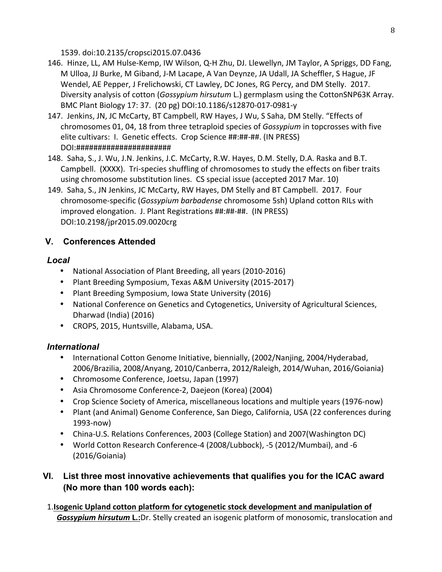1539. doi:10.2135/cropsci2015.07.0436

- 146. Hinze, LL, AM Hulse-Kemp, IW Wilson, Q-H Zhu, DJ. Llewellyn, JM Taylor, A Spriggs, DD Fang, M Ulloa, JJ Burke, M Giband, J-M Lacape, A Van Deynze, JA Udall, JA Scheffler, S Hague, JF Wendel, AE Pepper, J Frelichowski, CT Lawley, DC Jones, RG Percy, and DM Stelly. 2017. Diversity analysis of cotton (Gossypium hirsutum L.) germplasm using the CottonSNP63K Array. BMC Plant Biology 17: 37. (20 pg) DOI:10.1186/s12870-017-0981-y
- 147. Jenkins, JN, JC McCarty, BT Campbell, RW Hayes, J Wu, S Saha, DM Stelly. "Effects of chromosomes 01, 04, 18 from three tetraploid species of *Gossypium* in topcrosses with five elite cultivars: I. Genetic effects. Crop Science ##:##-##. (IN PRESS) DOI:######################
- 148. Saha, S., J. Wu, J.N. Jenkins, J.C. McCarty, R.W. Hayes, D.M. Stelly, D.A. Raska and B.T. Campbell. (XXXX). Tri-species shuffling of chromosomes to study the effects on fiber traits using chromosome substitution lines. CS special issue (accepted 2017 Mar. 10)
- 149. Saha, S., JN Jenkins, JC McCarty, RW Hayes, DM Stelly and BT Campbell. 2017. Four chromosome-specific (*Gossypium barbadense* chromosome 5sh) Upland cotton RILs with improved elongation. J. Plant Registrations ##:##-##. (IN PRESS) DOI:10.2198/jpr2015.09.0020crg

# **V. Conferences Attended**

## *Local*

- National Association of Plant Breeding, all years (2010-2016)
- Plant Breeding Symposium, Texas A&M University (2015-2017)
- Plant Breeding Symposium, Iowa State University (2016)
- National Conference on Genetics and Cytogenetics, University of Agricultural Sciences, Dharwad (India) (2016)
- CROPS, 2015, Huntsville, Alabama, USA.

# *International*

- International Cotton Genome Initiative, biennially, (2002/Nanjing, 2004/Hyderabad, 2006/Brazilia, 2008/Anyang, 2010/Canberra, 2012/Raleigh, 2014/Wuhan, 2016/Goiania)
- Chromosome Conference, Joetsu, Japan (1997)
- Asia Chromosome Conference-2, Daejeon (Korea) (2004)
- Crop Science Society of America, miscellaneous locations and multiple years (1976-now)
- Plant (and Animal) Genome Conference, San Diego, California, USA (22 conferences during 1993-now)
- China-U.S. Relations Conferences, 2003 (College Station) and 2007(Washington DC)
- World Cotton Research Conference-4 (2008/Lubbock), -5 (2012/Mumbai), and -6 (2016/Goiania)

# **VI. List three most innovative achievements that qualifies you for the ICAC award (No more than 100 words each):**

1.**Isogenic Upland cotton platform for cytogenetic stock development and manipulation of Gossypium hirsutum L.:**Dr. Stelly created an isogenic platform of monosomic, translocation and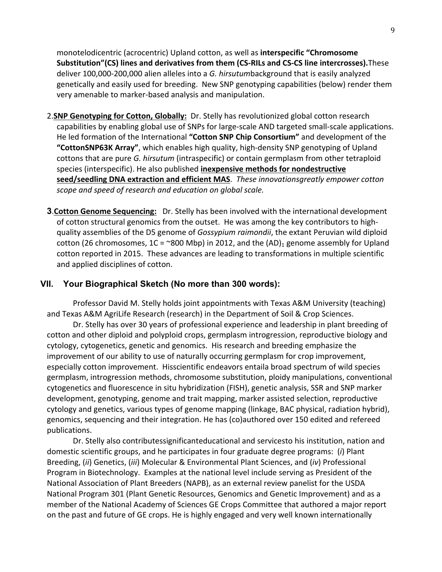monotelodicentric (acrocentric) Upland cotton, as well as **interspecific "Chromosome Substitution"(CS) lines and derivatives from them (CS-RILs and CS-CS line intercrosses).**These deliver 100,000-200,000 alien alleles into a *G. hirsutumbackground* that is easily analyzed genetically and easily used for breeding. New SNP genotyping capabilities (below) render them very amenable to marker-based analysis and manipulation.

- 2.**SNP Genotyping for Cotton, Globally:** Dr. Stelly has revolutionized global cotton research capabilities by enabling global use of SNPs for large-scale AND targeted small-scale applications. He led formation of the International "Cotton SNP Chip Consortium" and development of the **"CottonSNP63K Array"**, which enables high quality, high-density SNP genotyping of Upland cottons that are pure *G. hirsutum* (intraspecific) or contain germplasm from other tetraploid species (interspecific). He also published **inexpensive methods for nondestructive** seed/seedling DNA extraction and efficient MAS. These innovationsgreatly empower cotton scope and speed of research and education on global scale.
- **3. Cotton Genome Sequencing:** Dr. Stelly has been involved with the international development of cotton structural genomics from the outset. He was among the key contributors to highquality assemblies of the D5 genome of *Gossypium raimondii*, the extant Peruvian wild diploid cotton (26 chromosomes,  $1C = \textdegree 800 \text{ Mbp}$ ) in 2012, and the  $(AD)_1$  genome assembly for Upland cotton reported in 2015. These advances are leading to transformations in multiple scientific and applied disciplines of cotton.

#### **VII. Your Biographical Sketch (No more than 300 words):**

Professor David M. Stelly holds joint appointments with Texas A&M University (teaching) and Texas A&M AgriLife Research (research) in the Department of Soil & Crop Sciences.

Dr. Stelly has over 30 years of professional experience and leadership in plant breeding of cotton and other diploid and polyploid crops, germplasm introgression, reproductive biology and cytology, cytogenetics, genetic and genomics. His research and breeding emphasize the improvement of our ability to use of naturally occurring germplasm for crop improvement, especially cotton improvement. Hisscientific endeavors entaila broad spectrum of wild species germplasm, introgression methods, chromosome substitution, ploidy manipulations, conventional cytogenetics and fluorescence in situ hybridization (FISH), genetic analysis, SSR and SNP marker development, genotyping, genome and trait mapping, marker assisted selection, reproductive cytology and genetics, various types of genome mapping (linkage, BAC physical, radiation hybrid), genomics, sequencing and their integration. He has (co)authored over 150 edited and refereed publications. 

Dr. Stelly also contributessignificanteducational and servicesto his institution, nation and domestic scientific groups, and he participates in four graduate degree programs: (*i*) Plant Breeding, (ii) Genetics, (iii) Molecular & Environmental Plant Sciences, and (iv) Professional Program in Biotechnology. Examples at the national level include serving as President of the National Association of Plant Breeders (NAPB), as an external review panelist for the USDA National Program 301 (Plant Genetic Resources, Genomics and Genetic Improvement) and as a member of the National Academy of Sciences GE Crops Committee that authored a major report on the past and future of GE crops. He is highly engaged and very well known internationally